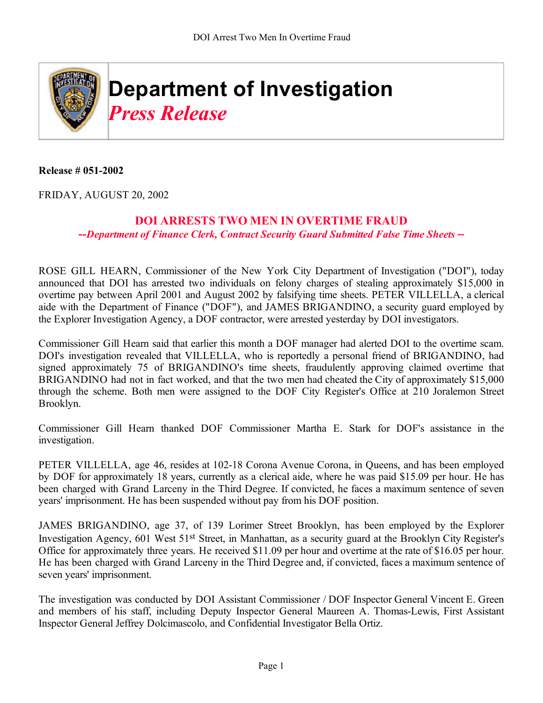

## **Release # 051-2002**

FRIDAY, AUGUST 20, 2002

## **DOI ARRESTS TWO MEN IN OVERTIME FRAUD**

**-***-Department of Finance Clerk, Contract Security Guard Submitted False Time Sheets* **--**

ROSE GILL HEARN, Commissioner of the New York City Department of Investigation ("DOI"), today announced that DOI has arrested two individuals on felony charges of stealing approximately \$15,000 in overtime pay between April 2001 and August 2002 by falsifying time sheets. PETER VILLELLA, a clerical aide with the Department of Finance ("DOF"), and JAMES BRIGANDINO, a security guard employed by the Explorer Investigation Agency, a DOF contractor, were arrested yesterday by DOI investigators.

Commissioner Gill Hearn said that earlier this month a DOF manager had alerted DOI to the overtime scam. DOI's investigation revealed that VILLELLA, who is reportedly a personal friend of BRIGANDINO, had signed approximately 75 of BRIGANDINO's time sheets, fraudulently approving claimed overtime that BRIGANDINO had not in fact worked, and that the two men had cheated the City of approximately \$15,000 through the scheme. Both men were assigned to the DOF City Register's Office at 210 Joralemon Street Brooklyn.

Commissioner Gill Hearn thanked DOF Commissioner Martha E. Stark for DOF's assistance in the investigation.

PETER VILLELLA, age 46, resides at 102-18 Corona Avenue Corona, in Queens, and has been employed by DOF for approximately 18 years, currently as a clerical aide, where he was paid \$15.09 per hour. He has been charged with Grand Larceny in the Third Degree. If convicted, he faces a maximum sentence of seven years' imprisonment. He has been suspended without pay from his DOF position.

JAMES BRIGANDINO, age 37, of 139 Lorimer Street Brooklyn, has been employed by the Explorer Investigation Agency, 601 West 51st Street, in Manhattan, as a security guard at the Brooklyn City Register's Office for approximately three years. He received \$11.09 per hour and overtime at the rate of \$16.05 per hour. He has been charged with Grand Larceny in the Third Degree and, if convicted, faces a maximum sentence of seven years' imprisonment.

The investigation was conducted by DOI Assistant Commissioner / DOF Inspector General Vincent E. Green and members of his staff, including Deputy Inspector General Maureen A. Thomas-Lewis, First Assistant Inspector General Jeffrey Dolcimascolo, and Confidential Investigator Bella Ortiz.